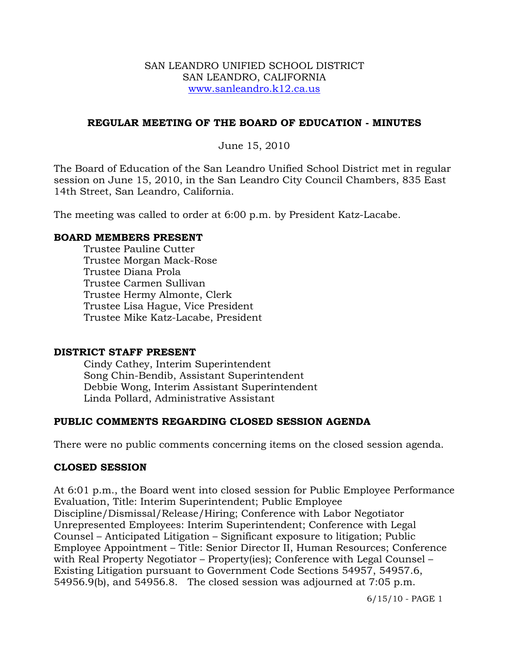### SAN LEANDRO UNIFIED SCHOOL DISTRICT SAN LEANDRO, CALIFORNIA www.sanleandro.k12.ca.us

### **REGULAR MEETING OF THE BOARD OF EDUCATION - MINUTES**

June 15, 2010

The Board of Education of the San Leandro Unified School District met in regular session on June 15, 2010, in the San Leandro City Council Chambers, 835 East 14th Street, San Leandro, California.

The meeting was called to order at 6:00 p.m. by President Katz-Lacabe.

### **BOARD MEMBERS PRESENT**

Trustee Pauline Cutter Trustee Morgan Mack-Rose Trustee Diana Prola Trustee Carmen Sullivan Trustee Hermy Almonte, Clerk Trustee Lisa Hague, Vice President Trustee Mike Katz-Lacabe, President

### **DISTRICT STAFF PRESENT**

Cindy Cathey, Interim Superintendent Song Chin-Bendib, Assistant Superintendent Debbie Wong, Interim Assistant Superintendent Linda Pollard, Administrative Assistant

## **PUBLIC COMMENTS REGARDING CLOSED SESSION AGENDA**

There were no public comments concerning items on the closed session agenda.

### **CLOSED SESSION**

At 6:01 p.m., the Board went into closed session for Public Employee Performance Evaluation, Title: Interim Superintendent; Public Employee Discipline/Dismissal/Release/Hiring; Conference with Labor Negotiator Unrepresented Employees: Interim Superintendent; Conference with Legal Counsel – Anticipated Litigation – Significant exposure to litigation; Public Employee Appointment – Title: Senior Director II, Human Resources; Conference with Real Property Negotiator – Property(ies); Conference with Legal Counsel – Existing Litigation pursuant to Government Code Sections 54957, 54957.6, 54956.9(b), and 54956.8. The closed session was adjourned at 7:05 p.m.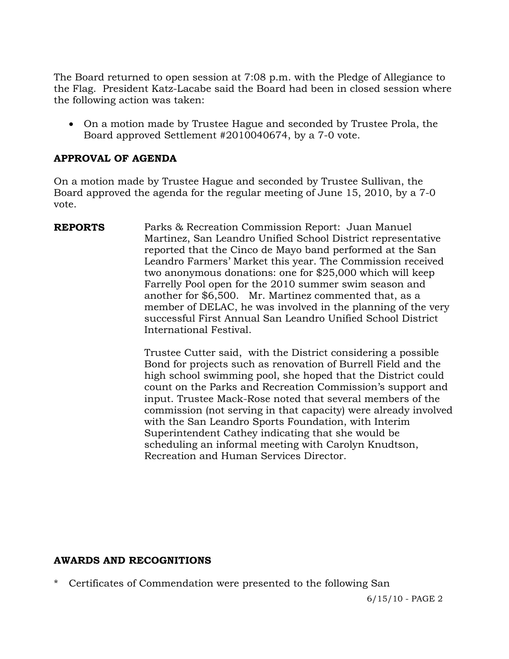The Board returned to open session at 7:08 p.m. with the Pledge of Allegiance to the Flag. President Katz-Lacabe said the Board had been in closed session where the following action was taken:

 On a motion made by Trustee Hague and seconded by Trustee Prola, the Board approved Settlement #2010040674, by a 7-0 vote.

## **APPROVAL OF AGENDA**

On a motion made by Trustee Hague and seconded by Trustee Sullivan, the Board approved the agenda for the regular meeting of June 15, 2010, by a 7-0 vote.

**REPORTS** Parks & Recreation Commission Report: Juan Manuel Martinez, San Leandro Unified School District representative reported that the Cinco de Mayo band performed at the San Leandro Farmers' Market this year. The Commission received two anonymous donations: one for \$25,000 which will keep Farrelly Pool open for the 2010 summer swim season and another for \$6,500. Mr. Martinez commented that, as a member of DELAC, he was involved in the planning of the very successful First Annual San Leandro Unified School District International Festival.

> Trustee Cutter said, with the District considering a possible Bond for projects such as renovation of Burrell Field and the high school swimming pool, she hoped that the District could count on the Parks and Recreation Commission's support and input. Trustee Mack-Rose noted that several members of the commission (not serving in that capacity) were already involved with the San Leandro Sports Foundation, with Interim Superintendent Cathey indicating that she would be scheduling an informal meeting with Carolyn Knudtson, Recreation and Human Services Director.

### **AWARDS AND RECOGNITIONS**

Certificates of Commendation were presented to the following San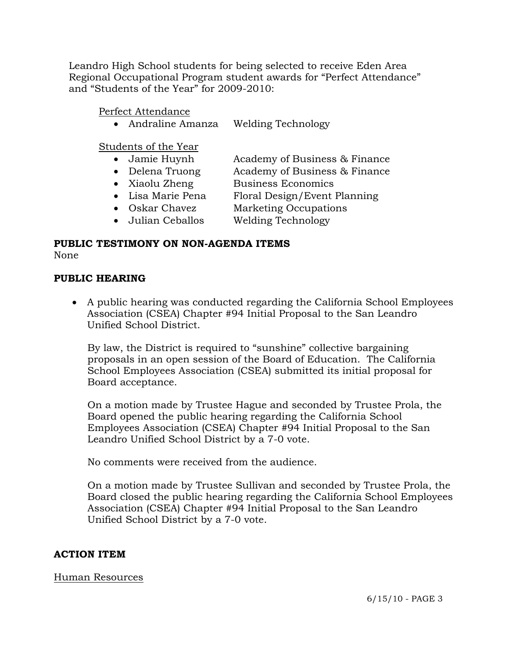Leandro High School students for being selected to receive Eden Area Regional Occupational Program student awards for "Perfect Attendance" and "Students of the Year" for 2009-2010:

Perfect Attendance

• Andraline Amanza Welding Technology

Students of the Year

- Jamie Huynh Academy of Business & Finance
- Delena Truong Academy of Business & Finance
- Xiaolu Zheng Business Economics
- Lisa Marie Pena Floral Design/Event Planning
- Oskar Chavez Marketing Occupations
- Julian Ceballos Welding Technology

# **PUBLIC TESTIMONY ON NON-AGENDA ITEMS**

None

## **PUBLIC HEARING**

 A public hearing was conducted regarding the California School Employees Association (CSEA) Chapter #94 Initial Proposal to the San Leandro Unified School District.

 By law, the District is required to "sunshine" collective bargaining proposals in an open session of the Board of Education. The California School Employees Association (CSEA) submitted its initial proposal for Board acceptance.

On a motion made by Trustee Hague and seconded by Trustee Prola, the Board opened the public hearing regarding the California School Employees Association (CSEA) Chapter #94 Initial Proposal to the San Leandro Unified School District by a 7-0 vote.

No comments were received from the audience.

On a motion made by Trustee Sullivan and seconded by Trustee Prola, the Board closed the public hearing regarding the California School Employees Association (CSEA) Chapter #94 Initial Proposal to the San Leandro Unified School District by a 7-0 vote.

# **ACTION ITEM**

## Human Resources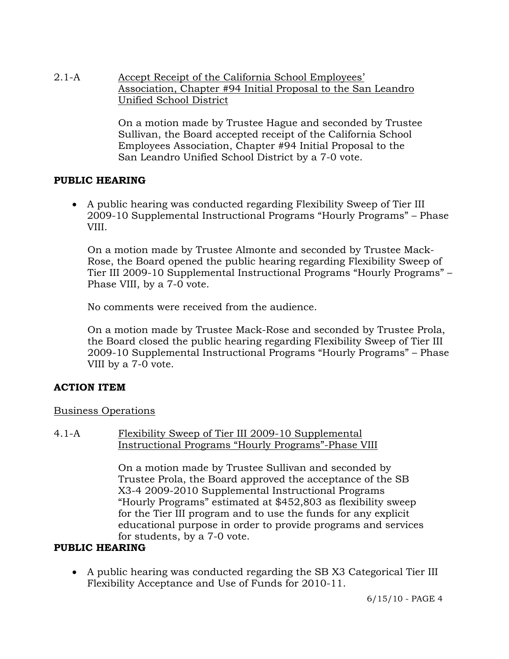2.1-A Accept Receipt of the California School Employees' Association, Chapter #94 Initial Proposal to the San Leandro Unified School District

> On a motion made by Trustee Hague and seconded by Trustee Sullivan, the Board accepted receipt of the California School Employees Association, Chapter #94 Initial Proposal to the San Leandro Unified School District by a 7-0 vote.

## **PUBLIC HEARING**

 A public hearing was conducted regarding Flexibility Sweep of Tier III 2009-10 Supplemental Instructional Programs "Hourly Programs" – Phase VIII.

On a motion made by Trustee Almonte and seconded by Trustee Mack-Rose, the Board opened the public hearing regarding Flexibility Sweep of Tier III 2009-10 Supplemental Instructional Programs "Hourly Programs" – Phase VIII, by a 7-0 vote.

No comments were received from the audience.

On a motion made by Trustee Mack-Rose and seconded by Trustee Prola, the Board closed the public hearing regarding Flexibility Sweep of Tier III 2009-10 Supplemental Instructional Programs "Hourly Programs" – Phase VIII by a 7-0 vote.

## **ACTION ITEM**

## Business Operations

### 4.1-A Flexibility Sweep of Tier III 2009-10 Supplemental Instructional Programs "Hourly Programs"-Phase VIII

On a motion made by Trustee Sullivan and seconded by Trustee Prola, the Board approved the acceptance of the SB X3-4 2009-2010 Supplemental Instructional Programs "Hourly Programs" estimated at \$452,803 as flexibility sweep for the Tier III program and to use the funds for any explicit educational purpose in order to provide programs and services for students, by a 7-0 vote.

## **PUBLIC HEARING**

 A public hearing was conducted regarding the SB X3 Categorical Tier III Flexibility Acceptance and Use of Funds for 2010-11.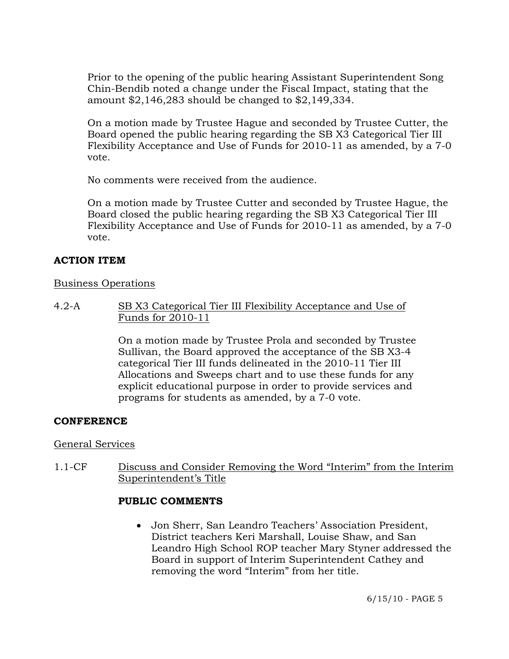Prior to the opening of the public hearing Assistant Superintendent Song Chin-Bendib noted a change under the Fiscal Impact, stating that the amount \$2,146,283 should be changed to \$2,149,334.

On a motion made by Trustee Hague and seconded by Trustee Cutter, the Board opened the public hearing regarding the SB X3 Categorical Tier III Flexibility Acceptance and Use of Funds for 2010-11 as amended, by a 7-0 vote.

No comments were received from the audience.

On a motion made by Trustee Cutter and seconded by Trustee Hague, the Board closed the public hearing regarding the SB X3 Categorical Tier III Flexibility Acceptance and Use of Funds for 2010-11 as amended, by a 7-0 vote.

## **ACTION ITEM**

## Business Operations

4.2-A SB X3 Categorical Tier III Flexibility Acceptance and Use of Funds for 2010-11

> On a motion made by Trustee Prola and seconded by Trustee Sullivan, the Board approved the acceptance of the SB X3-4 categorical Tier III funds delineated in the 2010-11 Tier III Allocations and Sweeps chart and to use these funds for any explicit educational purpose in order to provide services and programs for students as amended, by a 7-0 vote.

## **CONFERENCE**

## General Services

1.1-CF Discuss and Consider Removing the Word "Interim" from the Interim Superintendent's Title

## **PUBLIC COMMENTS**

 Jon Sherr, San Leandro Teachers' Association President, District teachers Keri Marshall, Louise Shaw, and San Leandro High School ROP teacher Mary Styner addressed the Board in support of Interim Superintendent Cathey and removing the word "Interim" from her title.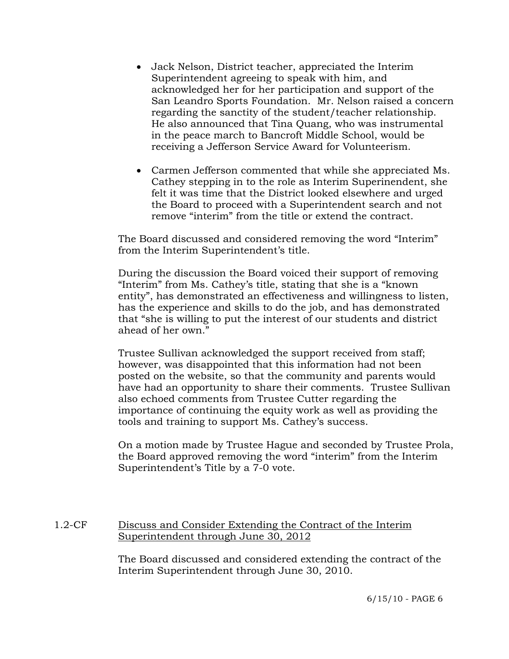- Jack Nelson, District teacher, appreciated the Interim Superintendent agreeing to speak with him, and acknowledged her for her participation and support of the San Leandro Sports Foundation. Mr. Nelson raised a concern regarding the sanctity of the student/teacher relationship. He also announced that Tina Quang, who was instrumental in the peace march to Bancroft Middle School, would be receiving a Jefferson Service Award for Volunteerism.
- Carmen Jefferson commented that while she appreciated Ms. Cathey stepping in to the role as Interim Superinendent, she felt it was time that the District looked elsewhere and urged the Board to proceed with a Superintendent search and not remove "interim" from the title or extend the contract.

The Board discussed and considered removing the word "Interim" from the Interim Superintendent's title.

During the discussion the Board voiced their support of removing "Interim" from Ms. Cathey's title, stating that she is a "known entity", has demonstrated an effectiveness and willingness to listen, has the experience and skills to do the job, and has demonstrated that "she is willing to put the interest of our students and district ahead of her own."

Trustee Sullivan acknowledged the support received from staff; however, was disappointed that this information had not been posted on the website, so that the community and parents would have had an opportunity to share their comments. Trustee Sullivan also echoed comments from Trustee Cutter regarding the importance of continuing the equity work as well as providing the tools and training to support Ms. Cathey's success.

On a motion made by Trustee Hague and seconded by Trustee Prola, the Board approved removing the word "interim" from the Interim Superintendent's Title by a 7-0 vote.

## 1.2-CF Discuss and Consider Extending the Contract of the Interim Superintendent through June 30, 2012

The Board discussed and considered extending the contract of the Interim Superintendent through June 30, 2010.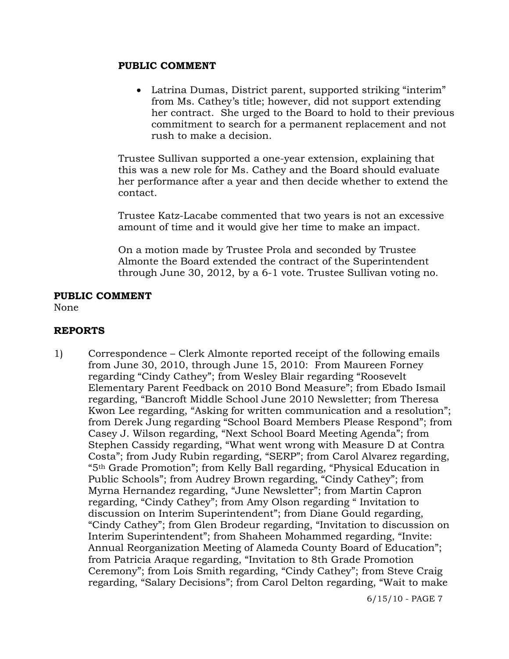### **PUBLIC COMMENT**

• Latrina Dumas, District parent, supported striking "interim" from Ms. Cathey's title; however, did not support extending her contract. She urged to the Board to hold to their previous commitment to search for a permanent replacement and not rush to make a decision.

Trustee Sullivan supported a one-year extension, explaining that this was a new role for Ms. Cathey and the Board should evaluate her performance after a year and then decide whether to extend the contact.

Trustee Katz-Lacabe commented that two years is not an excessive amount of time and it would give her time to make an impact.

On a motion made by Trustee Prola and seconded by Trustee Almonte the Board extended the contract of the Superintendent through June 30, 2012, by a 6-1 vote. Trustee Sullivan voting no.

## **PUBLIC COMMENT**

None

## **REPORTS**

1) Correspondence – Clerk Almonte reported receipt of the following emails from June 30, 2010, through June 15, 2010: From Maureen Forney regarding "Cindy Cathey"; from Wesley Blair regarding "Roosevelt Elementary Parent Feedback on 2010 Bond Measure"; from Ebado Ismail regarding, "Bancroft Middle School June 2010 Newsletter; from Theresa Kwon Lee regarding, "Asking for written communication and a resolution"; from Derek Jung regarding "School Board Members Please Respond"; from Casey J. Wilson regarding, "Next School Board Meeting Agenda"; from Stephen Cassidy regarding, "What went wrong with Measure D at Contra Costa"; from Judy Rubin regarding, "SERP"; from Carol Alvarez regarding, "5th Grade Promotion"; from Kelly Ball regarding, "Physical Education in Public Schools"; from Audrey Brown regarding, "Cindy Cathey"; from Myrna Hernandez regarding, "June Newsletter"; from Martin Capron regarding, "Cindy Cathey"; from Amy Olson regarding " Invitation to discussion on Interim Superintendent"; from Diane Gould regarding, "Cindy Cathey"; from Glen Brodeur regarding, "Invitation to discussion on Interim Superintendent"; from Shaheen Mohammed regarding, "Invite: Annual Reorganization Meeting of Alameda County Board of Education"; from Patricia Araque regarding, "Invitation to 8th Grade Promotion Ceremony"; from Lois Smith regarding, "Cindy Cathey"; from Steve Craig regarding, "Salary Decisions"; from Carol Delton regarding, "Wait to make

6/15/10 - PAGE 7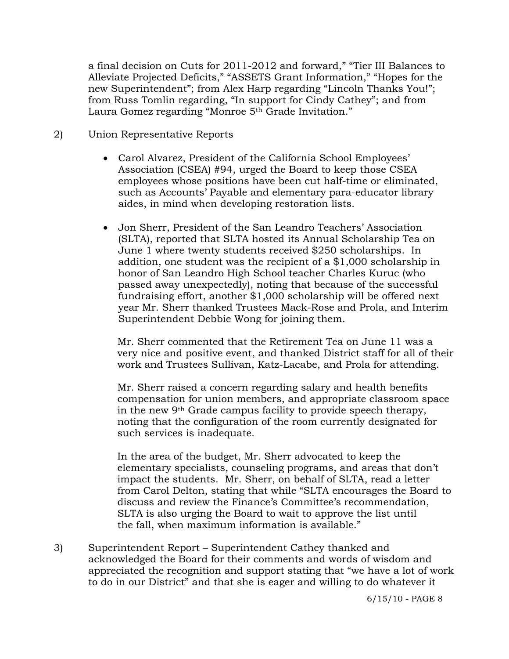a final decision on Cuts for 2011-2012 and forward," "Tier III Balances to Alleviate Projected Deficits," "ASSETS Grant Information," "Hopes for the new Superintendent"; from Alex Harp regarding "Lincoln Thanks You!"; from Russ Tomlin regarding, "In support for Cindy Cathey"; and from Laura Gomez regarding "Monroe 5<sup>th</sup> Grade Invitation."

- 2) Union Representative Reports
	- Carol Alvarez, President of the California School Employees' Association (CSEA) #94, urged the Board to keep those CSEA employees whose positions have been cut half-time or eliminated, such as Accounts' Payable and elementary para-educator library aides, in mind when developing restoration lists.
	- Jon Sherr, President of the San Leandro Teachers' Association (SLTA), reported that SLTA hosted its Annual Scholarship Tea on June 1 where twenty students received \$250 scholarships. In addition, one student was the recipient of a \$1,000 scholarship in honor of San Leandro High School teacher Charles Kuruc (who passed away unexpectedly), noting that because of the successful fundraising effort, another \$1,000 scholarship will be offered next year Mr. Sherr thanked Trustees Mack-Rose and Prola, and Interim Superintendent Debbie Wong for joining them.

 Mr. Sherr commented that the Retirement Tea on June 11 was a very nice and positive event, and thanked District staff for all of their work and Trustees Sullivan, Katz-Lacabe, and Prola for attending.

 Mr. Sherr raised a concern regarding salary and health benefits compensation for union members, and appropriate classroom space in the new 9th Grade campus facility to provide speech therapy, noting that the configuration of the room currently designated for such services is inadequate.

 In the area of the budget, Mr. Sherr advocated to keep the elementary specialists, counseling programs, and areas that don't impact the students. Mr. Sherr, on behalf of SLTA, read a letter from Carol Delton, stating that while "SLTA encourages the Board to discuss and review the Finance's Committee's recommendation, SLTA is also urging the Board to wait to approve the list until the fall, when maximum information is available."

3) Superintendent Report – Superintendent Cathey thanked and acknowledged the Board for their comments and words of wisdom and appreciated the recognition and support stating that "we have a lot of work to do in our District" and that she is eager and willing to do whatever it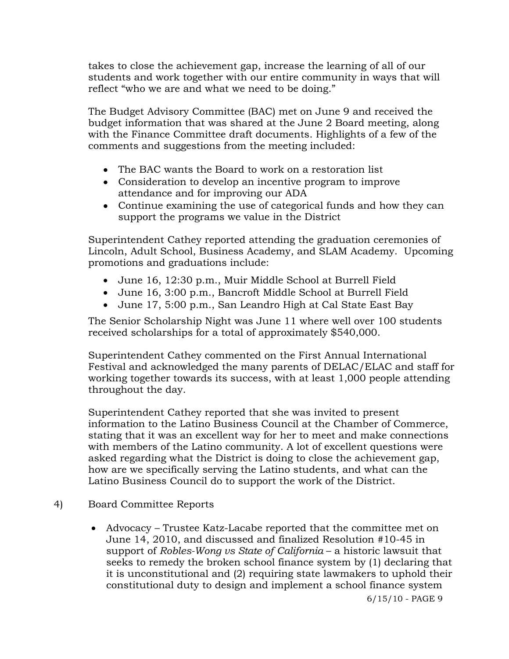takes to close the achievement gap, increase the learning of all of our students and work together with our entire community in ways that will reflect "who we are and what we need to be doing."

The Budget Advisory Committee (BAC) met on June 9 and received the budget information that was shared at the June 2 Board meeting, along with the Finance Committee draft documents. Highlights of a few of the comments and suggestions from the meeting included:

- The BAC wants the Board to work on a restoration list
- Consideration to develop an incentive program to improve attendance and for improving our ADA
- Continue examining the use of categorical funds and how they can support the programs we value in the District

Superintendent Cathey reported attending the graduation ceremonies of Lincoln, Adult School, Business Academy, and SLAM Academy. Upcoming promotions and graduations include:

- June 16, 12:30 p.m., Muir Middle School at Burrell Field
- June 16, 3:00 p.m., Bancroft Middle School at Burrell Field
- June 17, 5:00 p.m., San Leandro High at Cal State East Bay

The Senior Scholarship Night was June 11 where well over 100 students received scholarships for a total of approximately \$540,000.

Superintendent Cathey commented on the First Annual International Festival and acknowledged the many parents of DELAC/ELAC and staff for working together towards its success, with at least 1,000 people attending throughout the day.

Superintendent Cathey reported that she was invited to present information to the Latino Business Council at the Chamber of Commerce, stating that it was an excellent way for her to meet and make connections with members of the Latino community. A lot of excellent questions were asked regarding what the District is doing to close the achievement gap, how are we specifically serving the Latino students, and what can the Latino Business Council do to support the work of the District.

- 4) Board Committee Reports
	- Advocacy Trustee Katz-Lacabe reported that the committee met on June 14, 2010, and discussed and finalized Resolution #10-45 in support of *Robles-Wong vs State of California* – a historic lawsuit that seeks to remedy the broken school finance system by (1) declaring that it is unconstitutional and (2) requiring state lawmakers to uphold their constitutional duty to design and implement a school finance system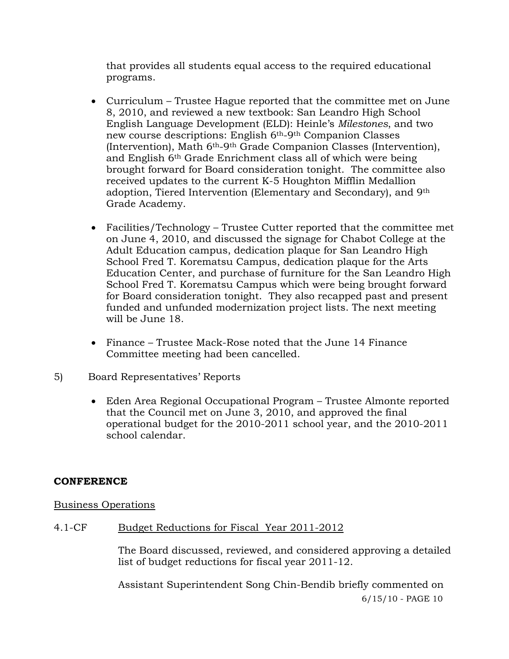that provides all students equal access to the required educational programs.

- Curriculum Trustee Hague reported that the committee met on June 8, 2010, and reviewed a new textbook: San Leandro High School English Language Development (ELD): Heinle's *Milestones*, and two new course descriptions: English 6th-9th Companion Classes (Intervention), Math 6th-9th Grade Companion Classes (Intervention), and English 6th Grade Enrichment class all of which were being brought forward for Board consideration tonight. The committee also received updates to the current K-5 Houghton Mifflin Medallion adoption, Tiered Intervention (Elementary and Secondary), and 9th Grade Academy.
- Facilities/Technology Trustee Cutter reported that the committee met on June 4, 2010, and discussed the signage for Chabot College at the Adult Education campus, dedication plaque for San Leandro High School Fred T. Korematsu Campus, dedication plaque for the Arts Education Center, and purchase of furniture for the San Leandro High School Fred T. Korematsu Campus which were being brought forward for Board consideration tonight. They also recapped past and present funded and unfunded modernization project lists. The next meeting will be June 18.
- Finance Trustee Mack-Rose noted that the June 14 Finance Committee meeting had been cancelled.
- 5) Board Representatives' Reports
	- Eden Area Regional Occupational Program Trustee Almonte reported that the Council met on June 3, 2010, and approved the final operational budget for the 2010-2011 school year, and the 2010-2011 school calendar.

## **CONFERENCE**

## Business Operations

# 4.1-CF Budget Reductions for Fiscal Year 2011-2012

The Board discussed, reviewed, and considered approving a detailed list of budget reductions for fiscal year 2011-12.

6/15/10 - PAGE 10 Assistant Superintendent Song Chin-Bendib briefly commented on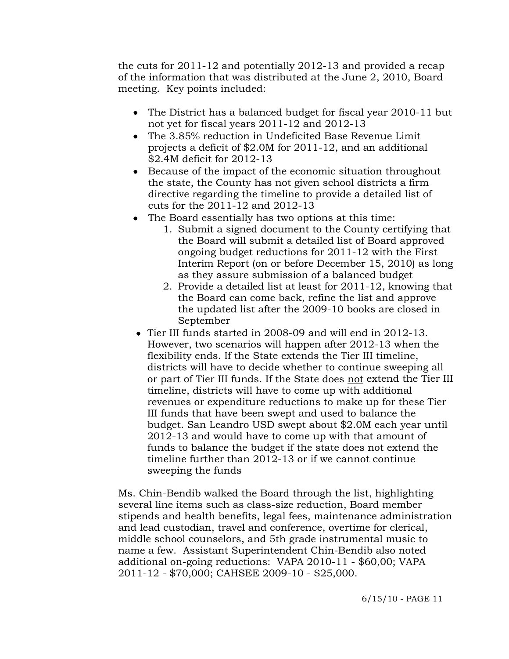the cuts for 2011-12 and potentially 2012-13 and provided a recap of the information that was distributed at the June 2, 2010, Board meeting. Key points included:

- The District has a balanced budget for fiscal year 2010-11 but not yet for fiscal years 2011-12 and 2012-13
- The 3.85% reduction in Undeficited Base Revenue Limit projects a deficit of \$2.0M for 2011-12, and an additional \$2.4M deficit for 2012-13
- Because of the impact of the economic situation throughout the state, the County has not given school districts a firm directive regarding the timeline to provide a detailed list of cuts for the 2011-12 and 2012-13
- The Board essentially has two options at this time:
	- 1. Submit a signed document to the County certifying that the Board will submit a detailed list of Board approved ongoing budget reductions for 2011-12 with the First Interim Report (on or before December 15, 2010) as long as they assure submission of a balanced budget
	- 2. Provide a detailed list at least for 2011-12, knowing that the Board can come back, refine the list and approve the updated list after the 2009-10 books are closed in September
- Tier III funds started in 2008-09 and will end in 2012-13. However, two scenarios will happen after 2012-13 when the flexibility ends. If the State extends the Tier III timeline, districts will have to decide whether to continue sweeping all or part of Tier III funds. If the State does not extend the Tier III timeline, districts will have to come up with additional revenues or expenditure reductions to make up for these Tier III funds that have been swept and used to balance the budget. San Leandro USD swept about \$2.0M each year until 2012-13 and would have to come up with that amount of funds to balance the budget if the state does not extend the timeline further than 2012-13 or if we cannot continue sweeping the funds

Ms. Chin-Bendib walked the Board through the list, highlighting several line items such as class-size reduction, Board member stipends and health benefits, legal fees, maintenance administration and lead custodian, travel and conference, overtime for clerical, middle school counselors, and 5th grade instrumental music to name a few. Assistant Superintendent Chin-Bendib also noted additional on-going reductions: VAPA 2010-11 - \$60,00; VAPA 2011-12 - \$70,000; CAHSEE 2009-10 - \$25,000.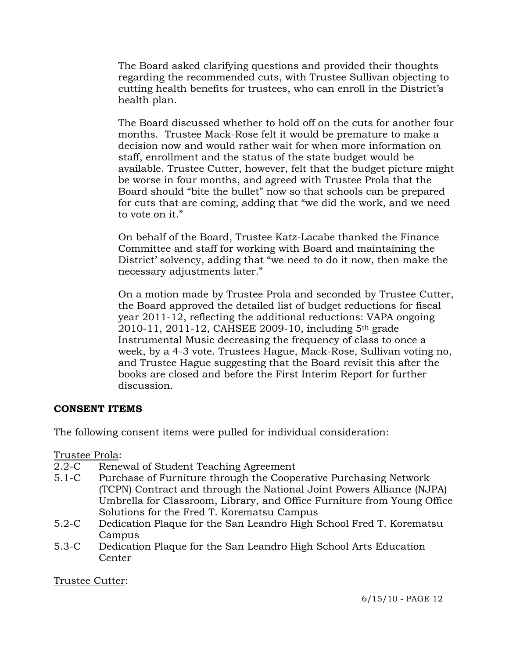The Board asked clarifying questions and provided their thoughts regarding the recommended cuts, with Trustee Sullivan objecting to cutting health benefits for trustees, who can enroll in the District's health plan.

The Board discussed whether to hold off on the cuts for another four months. Trustee Mack-Rose felt it would be premature to make a decision now and would rather wait for when more information on staff, enrollment and the status of the state budget would be available. Trustee Cutter, however, felt that the budget picture might be worse in four months, and agreed with Trustee Prola that the Board should "bite the bullet" now so that schools can be prepared for cuts that are coming, adding that "we did the work, and we need to vote on it."

On behalf of the Board, Trustee Katz-Lacabe thanked the Finance Committee and staff for working with Board and maintaining the District' solvency, adding that "we need to do it now, then make the necessary adjustments later."

On a motion made by Trustee Prola and seconded by Trustee Cutter, the Board approved the detailed list of budget reductions for fiscal year 2011-12, reflecting the additional reductions: VAPA ongoing 2010-11, 2011-12, CAHSEE 2009-10, including 5th grade Instrumental Music decreasing the frequency of class to once a week, by a 4-3 vote. Trustees Hague, Mack-Rose, Sullivan voting no, and Trustee Hague suggesting that the Board revisit this after the books are closed and before the First Interim Report for further discussion.

## **CONSENT ITEMS**

The following consent items were pulled for individual consideration:

Trustee Prola:

- 2.2-C Renewal of Student Teaching Agreement
- 5.1-C Purchase of Furniture through the Cooperative Purchasing Network (TCPN) Contract and through the National Joint Powers Alliance (NJPA) Umbrella for Classroom, Library, and Office Furniture from Young Office Solutions for the Fred T. Korematsu Campus
- 5.2-C Dedication Plaque for the San Leandro High School Fred T. Korematsu Campus
- 5.3-C Dedication Plaque for the San Leandro High School Arts Education Center

Trustee Cutter: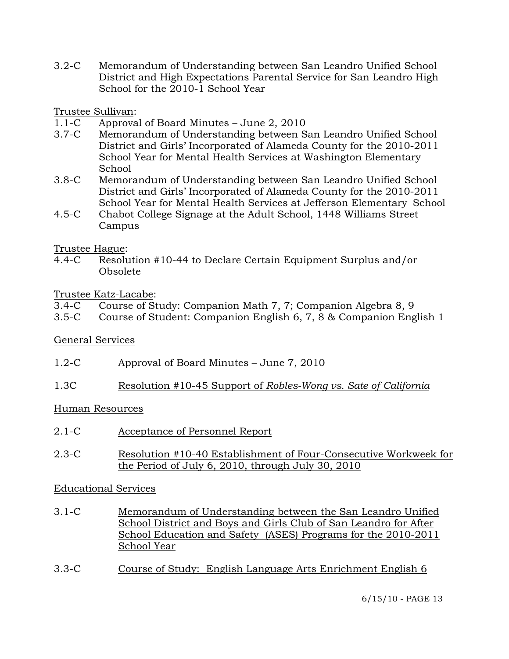3.2-C Memorandum of Understanding between San Leandro Unified School District and High Expectations Parental Service for San Leandro High School for the 2010-1 School Year

Trustee Sullivan:

- 1.1-C Approval of Board Minutes June 2, 2010
- 3.7-C Memorandum of Understanding between San Leandro Unified School District and Girls' Incorporated of Alameda County for the 2010-2011 School Year for Mental Health Services at Washington Elementary School
- 3.8-C Memorandum of Understanding between San Leandro Unified School District and Girls' Incorporated of Alameda County for the 2010-2011 School Year for Mental Health Services at Jefferson Elementary School
- 4.5-C Chabot College Signage at the Adult School, 1448 Williams Street Campus

## Trustee Hague:

4.4-C Resolution #10-44 to Declare Certain Equipment Surplus and/or Obsolete

## Trustee Katz-Lacabe:

|  |  |  | 3.4-C Course of Study: Companion Math 7, 7; Companion Algebra 8, 9 |  |
|--|--|--|--------------------------------------------------------------------|--|
|  |  |  |                                                                    |  |

3.5-C Course of Student: Companion English 6, 7, 8 & Companion English 1

# General Services

- 1.2-C Approval of Board Minutes June 7, 2010
- 1.3C Resolution #10-45 Support of *Robles-Wong vs. Sate of California*

## Human Resources

- 2.1-C Acceptance of Personnel Report
- 2.3-C Resolution #10-40 Establishment of Four-Consecutive Workweek for the Period of July 6, 2010, through July 30, 2010

## Educational Services

- 3.1-C Memorandum of Understanding between the San Leandro Unified School District and Boys and Girls Club of San Leandro for After School Education and Safety (ASES) Programs for the 2010-2011 School Year
- 3.3-C Course of Study: English Language Arts Enrichment English 6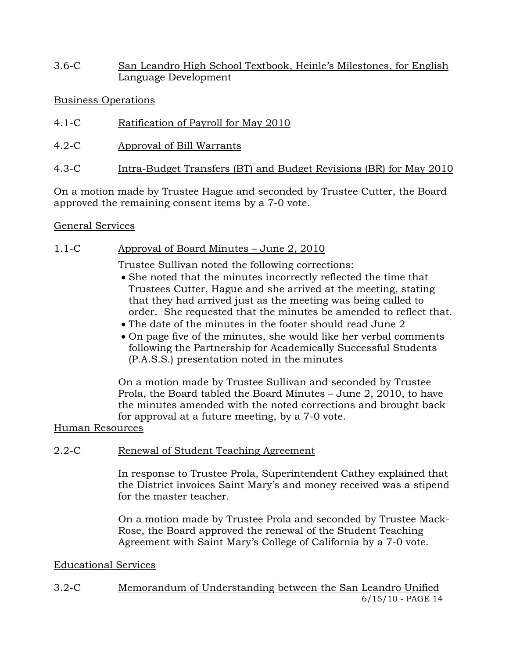3.6-C San Leandro High School Textbook, Heinle's Milestones, for English Language Development

## Business Operations

- 4.1-C Ratification of Payroll for May 2010
- 4.2-C Approval of Bill Warrants
- 4.3-C Intra-Budget Transfers (BT) and Budget Revisions (BR) for May 2010

On a motion made by Trustee Hague and seconded by Trustee Cutter, the Board approved the remaining consent items by a 7-0 vote.

## General Services

# 1.1-C Approval of Board Minutes – June 2, 2010

Trustee Sullivan noted the following corrections:

- She noted that the minutes incorrectly reflected the time that Trustees Cutter, Hague and she arrived at the meeting, stating that they had arrived just as the meeting was being called to order. She requested that the minutes be amended to reflect that.
- The date of the minutes in the footer should read June 2
- On page five of the minutes, she would like her verbal comments following the Partnership for Academically Successful Students (P.A.S.S.) presentation noted in the minutes

On a motion made by Trustee Sullivan and seconded by Trustee Prola, the Board tabled the Board Minutes – June 2, 2010, to have the minutes amended with the noted corrections and brought back for approval at a future meeting, by a 7-0 vote.

# Human Resources

# 2.2-C Renewal of Student Teaching Agreement

In response to Trustee Prola, Superintendent Cathey explained that the District invoices Saint Mary's and money received was a stipend for the master teacher.

On a motion made by Trustee Prola and seconded by Trustee Mack-Rose, the Board approved the renewal of the Student Teaching Agreement with Saint Mary's College of California by a 7-0 vote.

## Educational Services

6/15/10 - PAGE 14 3.2-C Memorandum of Understanding between the San Leandro Unified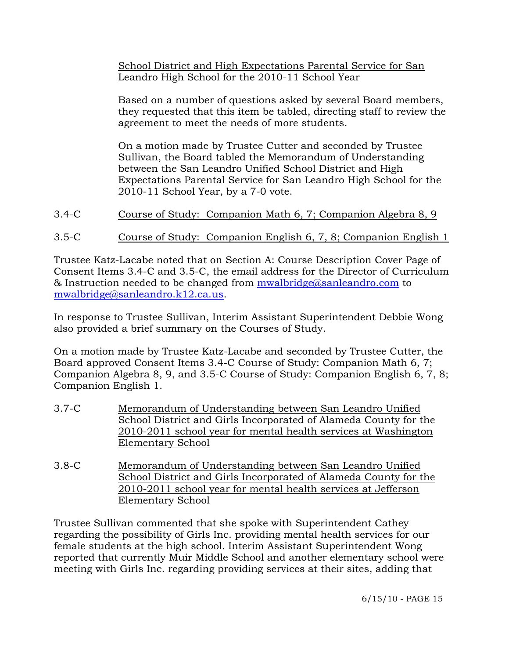School District and High Expectations Parental Service for San Leandro High School for the 2010-11 School Year

Based on a number of questions asked by several Board members, they requested that this item be tabled, directing staff to review the agreement to meet the needs of more students.

On a motion made by Trustee Cutter and seconded by Trustee Sullivan, the Board tabled the Memorandum of Understanding between the San Leandro Unified School District and High Expectations Parental Service for San Leandro High School for the 2010-11 School Year, by a 7-0 vote.

- 3.4-C Course of Study: Companion Math 6, 7; Companion Algebra 8, 9
- 3.5-C Course of Study: Companion English 6, 7, 8; Companion English 1

Trustee Katz-Lacabe noted that on Section A: Course Description Cover Page of Consent Items 3.4-C and 3.5-C, the email address for the Director of Curriculum & Instruction needed to be changed from [mwalbridge@sanleandro.com](mailto:mwalbridge@sanleandro.com) to [mwalbridge@sanleandro.k12.ca.us](mailto:mwalbridge@sanleandro.k12.ca.us).

In response to Trustee Sullivan, Interim Assistant Superintendent Debbie Wong also provided a brief summary on the Courses of Study.

On a motion made by Trustee Katz-Lacabe and seconded by Trustee Cutter, the Board approved Consent Items 3.4-C Course of Study: Companion Math 6, 7; Companion Algebra 8, 9, and 3.5-C Course of Study: Companion English 6, 7, 8; Companion English 1.

- 3.7-C Memorandum of Understanding between San Leandro Unified School District and Girls Incorporated of Alameda County for the 2010-2011 school year for mental health services at Washington Elementary School
- 3.8-C Memorandum of Understanding between San Leandro Unified School District and Girls Incorporated of Alameda County for the 2010-2011 school year for mental health services at Jefferson Elementary School

Trustee Sullivan commented that she spoke with Superintendent Cathey regarding the possibility of Girls Inc. providing mental health services for our female students at the high school. Interim Assistant Superintendent Wong reported that currently Muir Middle School and another elementary school were meeting with Girls Inc. regarding providing services at their sites, adding that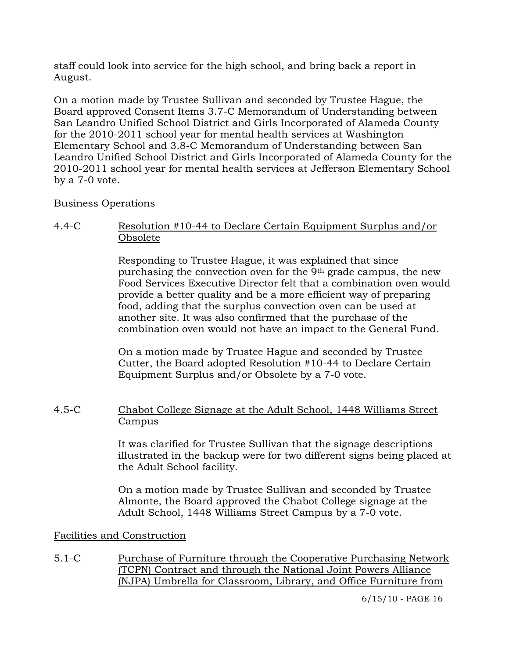staff could look into service for the high school, and bring back a report in August.

On a motion made by Trustee Sullivan and seconded by Trustee Hague, the Board approved Consent Items 3.7-C Memorandum of Understanding between San Leandro Unified School District and Girls Incorporated of Alameda County for the 2010-2011 school year for mental health services at Washington Elementary School and 3.8-C Memorandum of Understanding between San Leandro Unified School District and Girls Incorporated of Alameda County for the 2010-2011 school year for mental health services at Jefferson Elementary School by a 7-0 vote.

## Business Operations

4.4-C Resolution #10-44 to Declare Certain Equipment Surplus and/or Obsolete

> Responding to Trustee Hague, it was explained that since purchasing the convection oven for the 9th grade campus, the new Food Services Executive Director felt that a combination oven would provide a better quality and be a more efficient way of preparing food, adding that the surplus convection oven can be used at another site. It was also confirmed that the purchase of the combination oven would not have an impact to the General Fund.

On a motion made by Trustee Hague and seconded by Trustee Cutter, the Board adopted Resolution #10-44 to Declare Certain Equipment Surplus and/or Obsolete by a 7-0 vote.

## 4.5-C Chabot College Signage at the Adult School, 1448 Williams Street Campus

It was clarified for Trustee Sullivan that the signage descriptions illustrated in the backup were for two different signs being placed at the Adult School facility.

On a motion made by Trustee Sullivan and seconded by Trustee Almonte, the Board approved the Chabot College signage at the Adult School, 1448 Williams Street Campus by a 7-0 vote.

## Facilities and Construction

5.1-C Purchase of Furniture through the Cooperative Purchasing Network (TCPN) Contract and through the National Joint Powers Alliance (NJPA) Umbrella for Classroom, Library, and Office Furniture from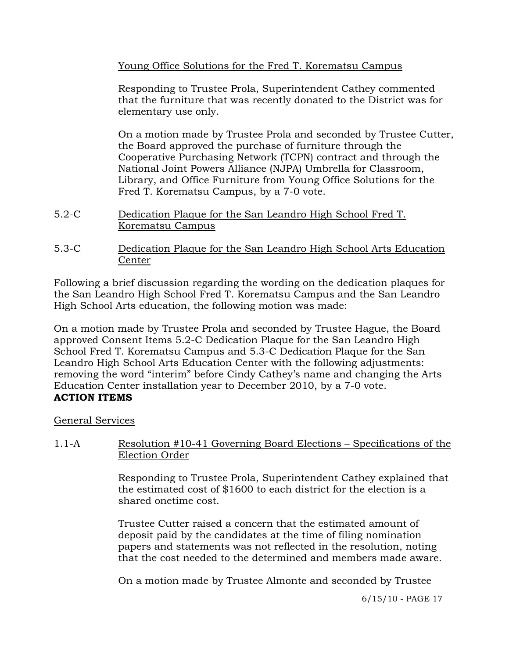Young Office Solutions for the Fred T. Korematsu Campus

Responding to Trustee Prola, Superintendent Cathey commented that the furniture that was recently donated to the District was for elementary use only.

On a motion made by Trustee Prola and seconded by Trustee Cutter, the Board approved the purchase of furniture through the Cooperative Purchasing Network (TCPN) contract and through the National Joint Powers Alliance (NJPA) Umbrella for Classroom, Library, and Office Furniture from Young Office Solutions for the Fred T. Korematsu Campus, by a 7-0 vote.

- 5.2-C Dedication Plaque for the San Leandro High School Fred T. Korematsu Campus
- 5.3-C Dedication Plaque for the San Leandro High School Arts Education Center

Following a brief discussion regarding the wording on the dedication plaques for the San Leandro High School Fred T. Korematsu Campus and the San Leandro High School Arts education, the following motion was made:

On a motion made by Trustee Prola and seconded by Trustee Hague, the Board approved Consent Items 5.2-C Dedication Plaque for the San Leandro High School Fred T. Korematsu Campus and 5.3-C Dedication Plaque for the San Leandro High School Arts Education Center with the following adjustments: removing the word "interim" before Cindy Cathey's name and changing the Arts Education Center installation year to December 2010, by a 7-0 vote. **ACTION ITEMS** 

## General Services

1.1-A Resolution #10-41 Governing Board Elections – Specifications of the Election Order

> Responding to Trustee Prola, Superintendent Cathey explained that the estimated cost of \$1600 to each district for the election is a shared onetime cost.

Trustee Cutter raised a concern that the estimated amount of deposit paid by the candidates at the time of filing nomination papers and statements was not reflected in the resolution, noting that the cost needed to the determined and members made aware.

On a motion made by Trustee Almonte and seconded by Trustee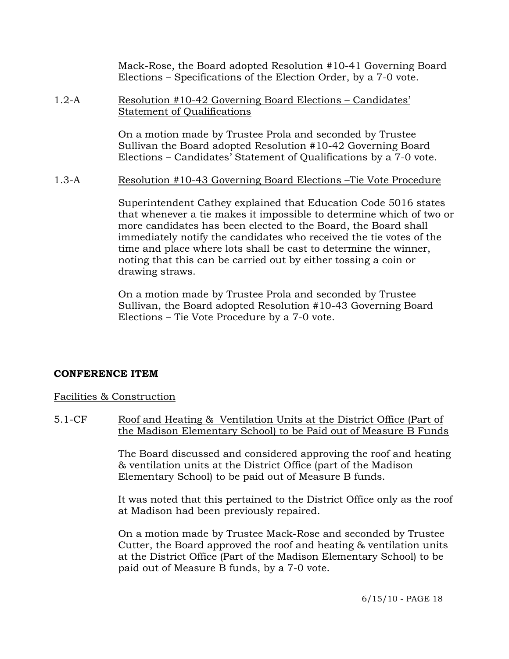Mack-Rose, the Board adopted Resolution #10-41 Governing Board Elections – Specifications of the Election Order, by a 7-0 vote.

#### 1.2-A Resolution #10-42 Governing Board Elections – Candidates' Statement of Qualifications

On a motion made by Trustee Prola and seconded by Trustee Sullivan the Board adopted Resolution #10-42 Governing Board Elections – Candidates' Statement of Qualifications by a 7-0 vote.

1.3-A Resolution #10-43 Governing Board Elections –Tie Vote Procedure

Superintendent Cathey explained that Education Code 5016 states that whenever a tie makes it impossible to determine which of two or more candidates has been elected to the Board, the Board shall immediately notify the candidates who received the tie votes of the time and place where lots shall be cast to determine the winner, noting that this can be carried out by either tossing a coin or drawing straws.

On a motion made by Trustee Prola and seconded by Trustee Sullivan, the Board adopted Resolution #10-43 Governing Board Elections – Tie Vote Procedure by a 7-0 vote.

### **CONFERENCE ITEM**

### Facilities & Construction

5.1-CF Roof and Heating & Ventilation Units at the District Office (Part of the Madison Elementary School) to be Paid out of Measure B Funds

> The Board discussed and considered approving the roof and heating & ventilation units at the District Office (part of the Madison Elementary School) to be paid out of Measure B funds.

> It was noted that this pertained to the District Office only as the roof at Madison had been previously repaired.

On a motion made by Trustee Mack-Rose and seconded by Trustee Cutter, the Board approved the roof and heating & ventilation units at the District Office (Part of the Madison Elementary School) to be paid out of Measure B funds, by a 7-0 vote.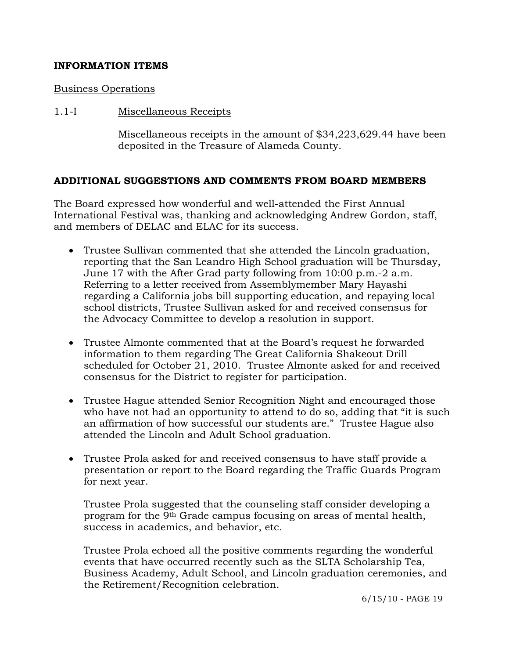## **INFORMATION ITEMS**

### Business Operations

### 1.1-I Miscellaneous Receipts

Miscellaneous receipts in the amount of \$34,223,629.44 have been deposited in the Treasure of Alameda County.

### **ADDITIONAL SUGGESTIONS AND COMMENTS FROM BOARD MEMBERS**

The Board expressed how wonderful and well-attended the First Annual International Festival was, thanking and acknowledging Andrew Gordon, staff, and members of DELAC and ELAC for its success.

- Trustee Sullivan commented that she attended the Lincoln graduation, reporting that the San Leandro High School graduation will be Thursday, June 17 with the After Grad party following from 10:00 p.m.-2 a.m. Referring to a letter received from Assemblymember Mary Hayashi regarding a California jobs bill supporting education, and repaying local school districts, Trustee Sullivan asked for and received consensus for the Advocacy Committee to develop a resolution in support.
- Trustee Almonte commented that at the Board's request he forwarded information to them regarding The Great California Shakeout Drill scheduled for October 21, 2010. Trustee Almonte asked for and received consensus for the District to register for participation.
- Trustee Hague attended Senior Recognition Night and encouraged those who have not had an opportunity to attend to do so, adding that "it is such an affirmation of how successful our students are." Trustee Hague also attended the Lincoln and Adult School graduation.
- Trustee Prola asked for and received consensus to have staff provide a presentation or report to the Board regarding the Traffic Guards Program for next year.

 Trustee Prola suggested that the counseling staff consider developing a program for the 9th Grade campus focusing on areas of mental health, success in academics, and behavior, etc.

 Trustee Prola echoed all the positive comments regarding the wonderful events that have occurred recently such as the SLTA Scholarship Tea, Business Academy, Adult School, and Lincoln graduation ceremonies, and the Retirement/Recognition celebration.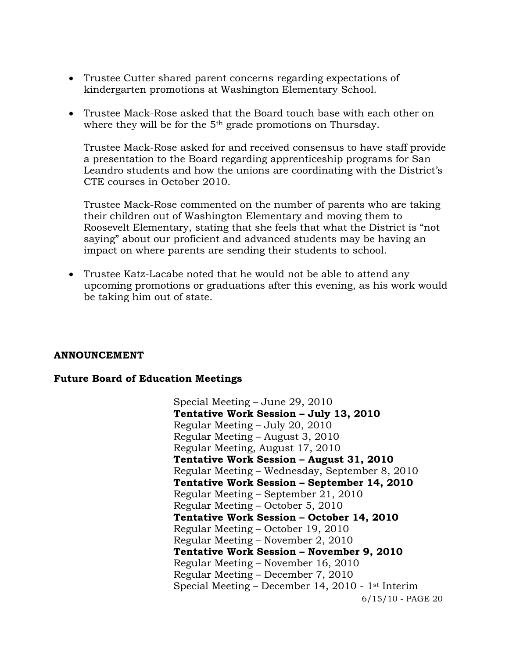- Trustee Cutter shared parent concerns regarding expectations of kindergarten promotions at Washington Elementary School.
- Trustee Mack-Rose asked that the Board touch base with each other on where they will be for the 5<sup>th</sup> grade promotions on Thursday.

 Trustee Mack-Rose asked for and received consensus to have staff provide a presentation to the Board regarding apprenticeship programs for San Leandro students and how the unions are coordinating with the District's CTE courses in October 2010.

 Trustee Mack-Rose commented on the number of parents who are taking their children out of Washington Elementary and moving them to Roosevelt Elementary, stating that she feels that what the District is "not saying" about our proficient and advanced students may be having an impact on where parents are sending their students to school.

 Trustee Katz-Lacabe noted that he would not be able to attend any upcoming promotions or graduations after this evening, as his work would be taking him out of state.

### **ANNOUNCEMENT**

### **Future Board of Education Meetings**

6/15/10 - PAGE 20 Special Meeting – June 29, 2010 **Tentative Work Session – July 13, 2010**  Regular Meeting – July 20, 2010 Regular Meeting – August 3, 2010 Regular Meeting, August 17, 2010 **Tentative Work Session – August 31, 2010**  Regular Meeting – Wednesday, September 8, 2010 **Tentative Work Session – September 14, 2010**  Regular Meeting – September 21, 2010 Regular Meeting – October 5, 2010 **Tentative Work Session – October 14, 2010**  Regular Meeting – October 19, 2010 Regular Meeting – November 2, 2010 **Tentative Work Session – November 9, 2010**  Regular Meeting – November 16, 2010 Regular Meeting – December 7, 2010 Special Meeting – December 14, 2010 - 1st Interim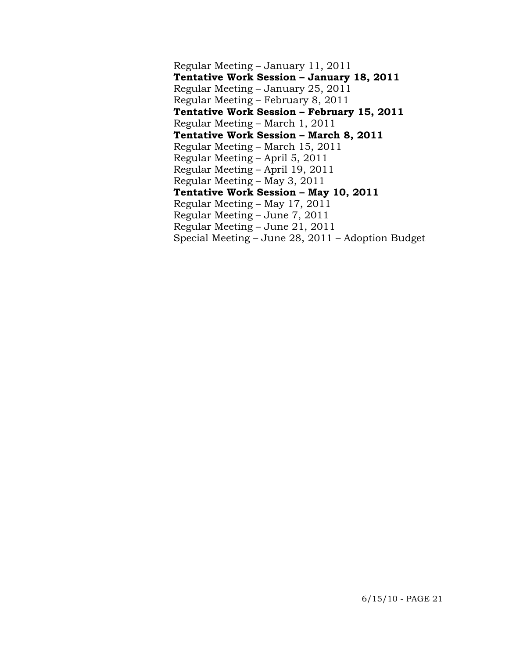Regular Meeting – January 11, 2011 **Tentative Work Session – January 18, 2011**  Regular Meeting – January 25, 2011 Regular Meeting – February 8, 2011 **Tentative Work Session – February 15, 2011**  Regular Meeting – March 1, 2011 **Tentative Work Session – March 8, 2011**  Regular Meeting – March 15, 2011 Regular Meeting – April 5, 2011 Regular Meeting – April 19, 2011 Regular Meeting – May 3, 2011 **Tentative Work Session – May 10, 2011**  Regular Meeting – May 17, 2011 Regular Meeting – June 7, 2011 Regular Meeting – June 21, 2011 Special Meeting – June 28, 2011 – Adoption Budget